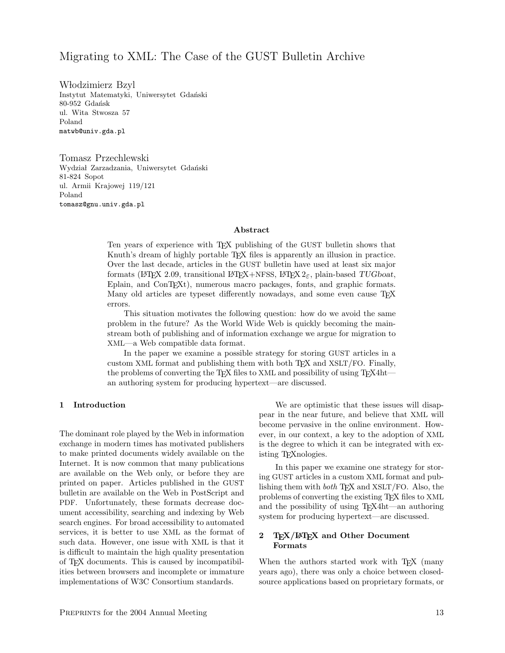# Migrating to XML: The Case of the GUST Bulletin Archive

Włodzimierz Bzyl Instytut Matematyki, Uniwersytet Gdański 80-952 Gdańsk ul. Wita Stwosza 57 Poland matwb@univ.gda.pl

Tomasz Przechlewski Wydział Zarzadzania, Uniwersytet Gdański 81-824 Sopot ul. Armii Krajowej 119/121 Poland tomasz@gnu.univ.gda.pl

#### Abstract

Ten years of experience with TEX publishing of the GUST bulletin shows that Knuth's dream of highly portable TEX files is apparently an illusion in practice. Over the last decade, articles in the GUST bulletin have used at least six major formats (LAT<sub>EX</sub> 2.09, transitional LAT<sub>EX</sub>+NFSS, LAT<sub>E</sub>X  $2\varepsilon$ , plain-based TUGboat, Eplain, and ConT<sub>E</sub>X<sup>t</sup>), numerous macro packages, fonts, and graphic formats. Many old articles are typeset differently nowadays, and some even cause T<sub>E</sub>X errors.

This situation motivates the following question: how do we avoid the same problem in the future? As the World Wide Web is quickly becoming the mainstream both of publishing and of information exchange we argue for migration to XML—a Web compatible data format.

In the paper we examine a possible strategy for storing GUST articles in a custom XML format and publishing them with both TEX and XSLT/FO. Finally, the problems of converting the TFX files to XML and possibility of using TFX4htan authoring system for producing hypertext—are discussed.

## 1 Introduction

The dominant role played by the Web in information exchange in modern times has motivated publishers to make printed documents widely available on the Internet. It is now common that many publications are available on the Web only, or before they are printed on paper. Articles published in the GUST bulletin are available on the Web in PostScript and PDF. Unfortunately, these formats decrease document accessibility, searching and indexing by Web search engines. For broad accessibility to automated services, it is better to use XML as the format of such data. However, one issue with XML is that it is difficult to maintain the high quality presentation of TEX documents. This is caused by incompatibilities between browsers and incomplete or immature implementations of W3C Consortium standards.

We are optimistic that these issues will disappear in the near future, and believe that XML will become pervasive in the online environment. However, in our context, a key to the adoption of XML is the degree to which it can be integrated with existing TEXnologies.

In this paper we examine one strategy for storing GUST articles in a custom XML format and publishing them with *both*  $T_{F}X$  and  $XSLT/FO$ . Also, the problems of converting the existing TEX files to XML and the possibility of using TEX4ht—an authoring system for producing hypertext—are discussed.

# 2 TEX/LATEX and Other Document Formats

When the authors started work with T<sub>E</sub>X (many years ago), there was only a choice between closedsource applications based on proprietary formats, or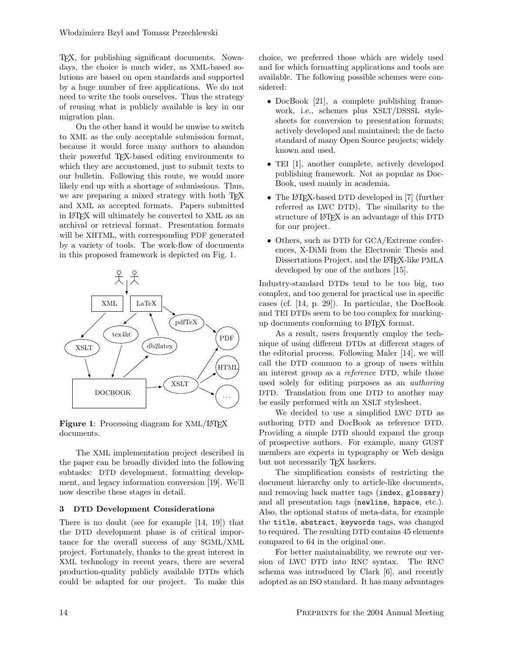TEX, for publishing significant documents. Nowadays, the choice is much wider, as XML-based solutions are based on open standards and supported by a huge number of free applications. We do not need to write the tools ourselves. Thus the strategy of reusing what is publicly available is key in our migration plan.

On the other hand it would be unwise to switch to XML as the only acceptable submission format, because it would force many authors to abandon their powerful TEX-based editing environments to which they are accustomed, just to submit texts to our bulletin. Following this route, we would more likely end up with a shortage of submissions. Thus, we are preparing a mixed strategy with both T<sub>EX</sub> and XML as accepted formats. Papers submitted in LATEX will ultimately be converted to XML as an archival or retrieval format. Presentation formats will be XHTML, with corresponding PDF generated by a variety of tools. The work-flow of documents in this proposed framework is depicted on Fig. 1.



Figure 1: Processing diagram for XML/L<sup>AT</sup>FX documents.

The XML implementation project described in the paper can be broadly divided into the following subtasks: DTD development, formatting development, and legacy information conversion [19]. We'll now describe these stages in detail.

# 3 DTD Development Considerations

There is no doubt (see for example [14, 19]) that the DTD development phase is of critical importance for the overall success of any SGML/XML project. Fortunately, thanks to the great interest in XML technology in recent years, there are several production-quality publicly available DTDs which could be adapted for our project. To make this

choice, we preferred those which are widely used and for which formatting applications and tools are available. The following possible schemes were considered:

- DocBook [21], a complete publishing framework, i.e., schemes plus XSLT/DSSSL stylesheets for conversion to presentation formats; actively developed and maintained; the de facto standard of many Open Source projects; widely known and used.
- TEI [1], another complete, actively developed publishing framework. Not as popular as Doc-Book, used mainly in academia.
- The LAT<sub>E</sub>X-based DTD developed in [7] (further referred as LWC DTD). The similarity to the structure of LATEX is an advantage of this DTD for our project.
- Others, such as DTD for GCA/Extreme conferences, X-DiMi from the Electronic Thesis and Dissertations Project, and the L<sup>AT</sup>FX-like PMLA developed by one of the authors [15].

Industry-standard DTDs tend to be too big, too complex, and too general for practical use in specific cases (cf. [14, p. 29]). In particular, the DocBook and TEI DTDs seem to be too complex for markingup documents conforming to LATEX format.

As a result, users frequently employ the technique of using different DTDs at different stages of the editorial process. Following Maler [14], we will call the DTD common to a group of users within an interest group as a reference DTD, while those used solely for editing purposes as an authoring DTD. Translation from one DTD to another may be easily performed with an XSLT stylesheet.

We decided to use a simplified LWC DTD as authoring DTD and DocBook as reference DTD. Providing a simple DTD should expand the group of prospective authors. For example, many GUST members are experts in typography or Web design but not necessarily T<sub>E</sub>X hackers.

The simplification consists of restricting the document hierarchy only to article-like documents, and removing back matter tags (index, glossary) and all presentation tags (newline, hspace, etc.). Also, the optional status of meta-data, for example the title, abstract, keywords tags, was changed to required. The resulting DTD contains 45 elements compared to 64 in the original one.

For better maintainability, we rewrote our version of LWC DTD into RNC syntax. The RNC schema was introduced by Clark [6], and recently adopted as an ISO standard. It has many advantages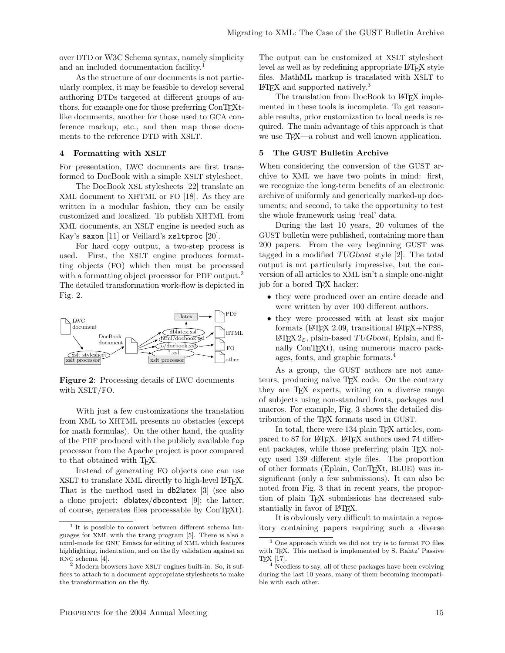over DTD or W3C Schema syntax, namely simplicity and an included documentation facility.<sup>1</sup>

As the structure of our documents is not particularly complex, it may be feasible to develop several authoring DTDs targeted at different groups of authors, for example one for those preferring ConT<sub>E</sub>X<sup>t</sup>like documents, another for those used to GCA conference markup, etc., and then map those documents to the reference DTD with XSLT.

## 4 Formatting with XSLT

For presentation, LWC documents are first transformed to DocBook with a simple XSLT stylesheet.

The DocBook XSL stylesheets [22] translate an XML document to XHTML or FO [18]. As they are written in a modular fashion, they can be easily customized and localized. To publish XHTML from XML documents, an XSLT engine is needed such as Kay's saxon [11] or Veillard's xsltproc [20].

For hard copy output, a two-step process is used. First, the XSLT engine produces formatting objects (FO) which then must be processed with a formatting object processor for PDF output.<sup>2</sup> The detailed transformation work-flow is depicted in Fig. 2.



Figure 2: Processing details of LWC documents with XSLT/FO.

With just a few customizations the translation from XML to XHTML presents no obstacles (except for math formulas). On the other hand, the quality of the PDF produced with the publicly available fop processor from the Apache project is poor compared to that obtained with TEX.

Instead of generating FO objects one can use XSLT to translate XML directly to high-level LATEX. That is the method used in db2latex [3] (see also a clone project: dblatex/dbcontext [9]; the latter, of course, generates files processable by ConTEXt). The output can be customized at XSLT stylesheet level as well as by redefining appropriate LATEX style files. MathML markup is translated with XSLT to  $\mu$ <sub>3</sub> E<sub>F</sub>X and supported natively.<sup>3</sup>

The translation from DocBook to LAT<sub>EX</sub> implemented in these tools is incomplete. To get reasonable results, prior customization to local needs is required. The main advantage of this approach is that we use T<sub>E</sub>X—a robust and well known application.

#### 5 The GUST Bulletin Archive

When considering the conversion of the GUST archive to XML we have two points in mind: first, we recognize the long-term benefits of an electronic archive of uniformly and generically marked-up documents; and second, to take the opportunity to test the whole framework using 'real' data.

During the last 10 years, 20 volumes of the GUST bulletin were published, containing more than 200 papers. From the very beginning GUST was tagged in a modified TUGboat style [2]. The total output is not particularly impressive, but the conversion of all articles to XML isn't a simple one-night job for a bored TEX hacker:

- they were produced over an entire decade and were written by over 100 different authors.
- they were processed with at least six major formats (LAT<sub>EX</sub> 2.09, transitional LAT<sub>EX</sub>+NFSS, LATEX 2ε, plain-based TUGboat, Eplain, and finally ConT<sub>E</sub>X<sup>t</sup>), using numerous macro packages, fonts, and graphic formats.<sup>4</sup>

As a group, the GUST authors are not amateurs, producing na¨ıve TEX code. On the contrary they are TEX experts, writing on a diverse range of subjects using non-standard fonts, packages and macros. For example, Fig. 3 shows the detailed distribution of the TEX formats used in GUST.

In total, there were 134 plain T<sub>F</sub>X articles, compared to 87 for LAT<sub>EX</sub>. LAT<sub>EX</sub> authors used 74 different packages, while those preferring plain TEX nology used 139 different style files. The proportion of other formats (Eplain, ConTEXt, BLUE) was insignificant (only a few submissions). It can also be noted from Fig. 3 that in recent years, the proportion of plain TEX submissions has decreased substantially in favor of L<sup>AT</sup>EX.

It is obviously very difficult to maintain a repository containing papers requiring such a diverse

<sup>&</sup>lt;sup>1</sup> It is possible to convert between different schema languages for XML with the trang program [5]. There is also a nxml-mode for GNU Emacs for editing of XML which features highlighting, indentation, and on the fly validation against an RNC schema [4].

<sup>2</sup> Modern browsers have XSLT engines built-in. So, it suffices to attach to a document appropriate stylesheets to make the transformation on the fly.

<sup>3</sup> One approach which we did not try is to format FO files with TFX. This method is implemented by S. Rahtz' Passive TEX [17].

<sup>4</sup> Needless to say, all of these packages have been evolving during the last 10 years, many of them becoming incompatible with each other.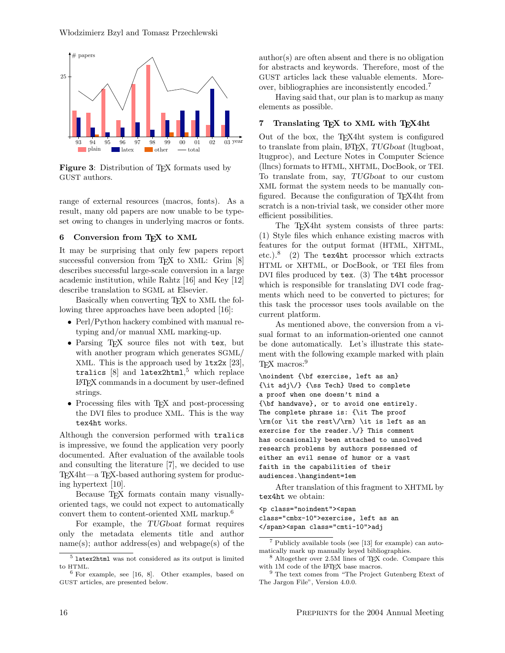

Figure 3: Distribution of T<sub>F</sub>X formats used by GUST authors.

range of external resources (macros, fonts). As a result, many old papers are now unable to be typeset owing to changes in underlying macros or fonts.

## 6 Conversion from TEX to XML

It may be surprising that only few papers report successful conversion from T<sub>EX</sub> to XML: Grim  $[8]$ describes successful large-scale conversion in a large academic institution, while Rahtz [16] and Key [12] describe translation to SGML at Elsevier.

Basically when converting TEX to XML the following three approaches have been adopted [16]:

- Perl/Python hackery combined with manual retyping and/or manual XML marking-up.
- Parsing T<sub>F</sub>X source files not with tex, but with another program which generates SGML/ XML. This is the approach used by ltx2x [23], tralics  $[8]$  and latex2html,<sup>5</sup> which replace LATEX commands in a document by user-defined strings.
- Processing files with TEX and post-processing the DVI files to produce XML. This is the way tex4ht works.

Although the conversion performed with tralics is impressive, we found the application very poorly documented. After evaluation of the available tools and consulting the literature [7], we decided to use TEX4ht—a TEX-based authoring system for producing hypertext [10].

Because TEX formats contain many visuallyoriented tags, we could not expect to automatically convert them to content-oriented XML markup.<sup>6</sup>

For example, the TUGboat format requires only the metadata elements title and author name(s); author address(es) and webpage(s) of the author(s) are often absent and there is no obligation for abstracts and keywords. Therefore, most of the GUST articles lack these valuable elements. Moreover, bibliographies are inconsistently encoded.<sup>7</sup>

Having said that, our plan is to markup as many elements as possible.

## 7 Translating T<sub>F</sub>X to XML with T<sub>F</sub>X4ht

Out of the box, the TEX4ht system is configured to translate from plain, LATEX, TUGboat (ltugboat, ltugproc), and Lecture Notes in Computer Science (llncs) formats to HTML, XHTML, DocBook, or TEI. To translate from, say, TUGboat to our custom XML format the system needs to be manually configured. Because the configuration of TEX4ht from scratch is a non-trivial task, we consider other more efficient possibilities.

The T<sub>E</sub>X4ht system consists of three parts: (1) Style files which enhance existing macros with features for the output format (HTML, XHTML, etc.).<sup>8</sup> (2) The tex4ht processor which extracts HTML or XHTML, or DocBook, or TEI files from DVI files produced by tex. (3) The t4ht processor which is responsible for translating DVI code fragments which need to be converted to pictures; for this task the processor uses tools available on the current platform.

As mentioned above, the conversion from a visual format to an information-oriented one cannot be done automatically. Let's illustrate this statement with the following example marked with plain T<sub>F</sub>X macros:<sup>9</sup>

```
\noindent {\bf exercise, left as an}
{\it diff} {\rm s} Tech} Used to complete
a proof when one doesn't mind a
{\bf handwave}, or to avoid one entirely.
The complete phrase is: {\it The proof
\rm(or \it the rest\/\rm) \it is left as an
exercise for the reader.\/} This comment
has occasionally been attached to unsolved
research problems by authors possessed of
either an evil sense of humor or a vast
faith in the capabilities of their
audiences.\hangindent=1em
```
After translation of this fragment to XHTML by tex4ht we obtain:

<p class="noindent"><span class="cmbx-10">exercise, left as an </span><span class="cmti-10">adj

 $^5$  latex2html was not considered as its output is limited to HTML.

<sup>6</sup> For example, see [16, 8]. Other examples, based on GUST articles, are presented below.

<sup>7</sup> Publicly available tools (see [13] for example) can automatically mark up manually keyed bibliographies.

<sup>8</sup> Altogether over 2.5M lines of TEX code. Compare this with 1M code of the LATEX base macros.

<sup>9</sup> The text comes from "The Project Gutenberg Etext of The Jargon File", Version 4.0.0.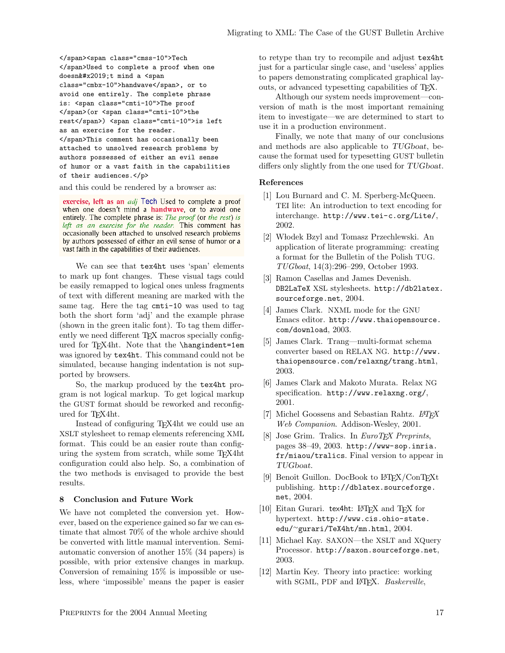</span><span class="cmss-10">Tech </span>Used to complete a proof when one doesn't mind a <span class="cmbx-10">handwave</span>, or to avoid one entirely. The complete phrase is: <span class="cmti-10">The proof </span>(or <span class="cmti-10">the rest</span>) <span class="cmti-10">is left as an exercise for the reader. </span>This comment has occasionally been attached to unsolved research problems by authors possessed of either an evil sense of humor or a vast faith in the capabilities of their audiences.</p>

and this could be rendered by a browser as:

exercise, left as an *adj* Tech Used to complete a proof when one doesn't mind a handwave, or to avoid one entirely. The complete phrase is: The proof (or the rest) is left as an exercise for the reader. This comment has occasionally been attached to unsolved research problems by authors possessed of either an evil sense of humor or a vast faith in the capabilities of their audiences.

We can see that tex4ht uses 'span' elements to mark up font changes. These visual tags could be easily remapped to logical ones unless fragments of text with different meaning are marked with the same tag. Here the tag cmti-10 was used to tag both the short form 'adj' and the example phrase (shown in the green italic font). To tag them differently we need different TEX macros specially configured for TEX4ht. Note that the \hangindent=1em was ignored by tex4ht. This command could not be simulated, because hanging indentation is not supported by browsers.

So, the markup produced by the tex4ht program is not logical markup. To get logical markup the GUST format should be reworked and reconfigured for TEX4ht.

Instead of configuring TEX4ht we could use an XSLT stylesheet to remap elements referencing XML format. This could be an easier route than configuring the system from scratch, while some TEX4ht configuration could also help. So, a combination of the two methods is envisaged to provide the best results.

# 8 Conclusion and Future Work

We have not completed the conversion yet. However, based on the experience gained so far we can estimate that almost 70% of the whole archive should be converted with little manual intervention. Semiautomatic conversion of another 15% (34 papers) is possible, with prior extensive changes in markup. Conversion of remaining 15% is impossible or useless, where 'impossible' means the paper is easier

to retype than try to recompile and adjust tex4ht just for a particular single case, and 'useless' applies to papers demonstrating complicated graphical layouts, or advanced typesetting capabilities of TEX.

Although our system needs improvement—conversion of math is the most important remaining item to investigate—we are determined to start to use it in a production environment.

Finally, we note that many of our conclusions and methods are also applicable to TUGboat, because the format used for typesetting GUST bulletin differs only slightly from the one used for TUGboat.

#### References

- [1] Lou Burnard and C. M. Sperberg-McQueen. TEI lite: An introduction to text encoding for interchange. http://www.tei-c.org/Lite/, 2002.
- [2] W lodek Bzyl and Tomasz Przechlewski. An application of literate programming: creating a format for the Bulletin of the Polish TUG. TUGboat, 14(3):296–299, October 1993.
- [3] Ramon Casellas and James Devenish. DB2LaTeX XSL stylesheets. http://db2latex. sourceforge.net, 2004.
- [4] James Clark. NXML mode for the GNU Emacs editor. http://www.thaiopensource. com/download, 2003.
- [5] James Clark. Trang—multi-format schema converter based on RELAX NG. http://www. thaiopensource.com/relaxng/trang.html, 2003.
- [6] James Clark and Makoto Murata. Relax NG specification. http://www.relaxng.org/, 2001.
- [7] Michel Goossens and Sebastian Rahtz.  $\cancel{L}TFX$ Web Companion. Addison-Wesley, 2001.
- [8] Jose Grim. Tralics. In EuroTEX Preprints, pages 38–49, 2003. http://www-sop.inria. fr/miaou/tralics. Final version to appear in TUGboat.
- [9] Benoît Guillon. DocBook to LAT<sub>EX</sub>/ConTEXt publishing. http://dblatex.sourceforge. net, 2004.
- [10] Eitan Gurari. tex4ht: LATFX and TFX for hypertext. http://www.cis.ohio-state. edu/<sup>∼</sup>gurari/TeX4ht/mn.html, 2004.
- [11] Michael Kay. SAXON—the XSLT and XQuery Processor. http://saxon.sourceforge.net, 2003.
- [12] Martin Key. Theory into practice: working with SGML, PDF and IATEX. Baskerville,